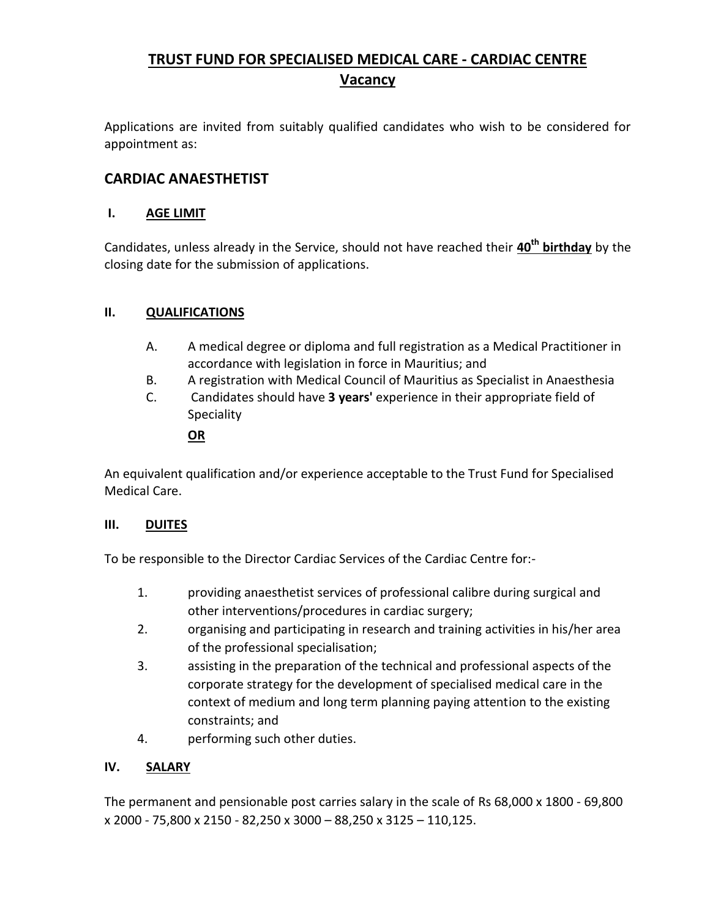# **TRUST FUND FOR SPECIALISED MEDICAL CARE - CARDIAC CENTRE Vacancy**

Applications are invited from suitably qualified candidates who wish to be considered for appointment as:

## **CARDIAC ANAESTHETIST**

### **I. AGE LIMIT**

Candidates, unless already in the Service, should not have reached their **40th birthday** by the closing date for the submission of applications.

## **II. QUALIFICATIONS**

- A. A medical degree or diploma and full registration as a Medical Practitioner in accordance with legislation in force in Mauritius; and
- B. A registration with Medical Council of Mauritius as Specialist in Anaesthesia
- C. Candidates should have **3 years'** experience in their appropriate field of Speciality

#### **OR**

An equivalent qualification and/or experience acceptable to the Trust Fund for Specialised Medical Care.

#### **III. DUITES**

To be responsible to the Director Cardiac Services of the Cardiac Centre for:-

- 1. providing anaesthetist services of professional calibre during surgical and other interventions/procedures in cardiac surgery;
- 2. organising and participating in research and training activities in his/her area of the professional specialisation;
- 3. assisting in the preparation of the technical and professional aspects of the corporate strategy for the development of specialised medical care in the context of medium and long term planning paying attention to the existing constraints; and
- 4. performing such other duties.

#### **IV. SALARY**

The permanent and pensionable post carries salary in the scale of Rs 68,000 x 1800 - 69,800 x 2000 - 75,800 x 2150 - 82,250 x 3000 – 88,250 x 3125 – 110,125.